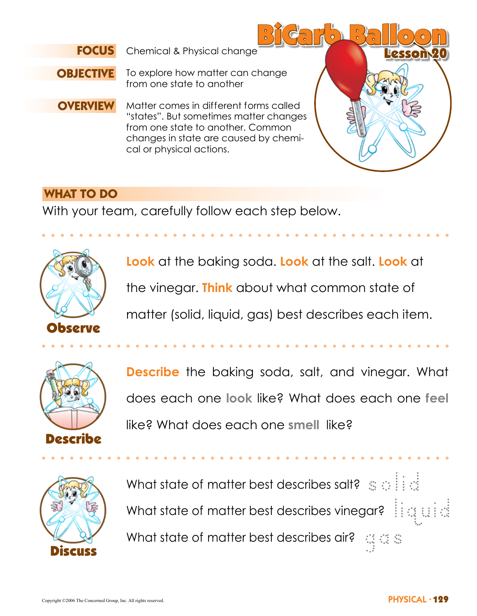

BiCarb Balloon Chemical & Physical change Lesson 2012 Lesson



To explore how matter can change from one state to another

**OVERVIEW** Matter comes in different forms called "states". But sometimes matter changes from one state to another. Common changes in state are caused by chemical or physical actions.

### **WHAT TO DO**

With your team, carefully follow each step below.



**Look** at the baking soda. **Look** at the salt. **Look** at the vinegar. **Think** about what common state of

matter (solid, liquid, gas) best describes each item.



**Describe** the baking soda, salt, and vinegar. What does each one **look** like? What does each one **feel** like? What does each one **smell** like?



What state of matter best describes salt?  $\mathbb{S} \oplus \mathbb{H}$ What state of matter best describes vinegar?  $\frac{1}{2}$  is a state What state of matter best describes air?  $\mathbb{Q} \otimes \mathbb{Z}$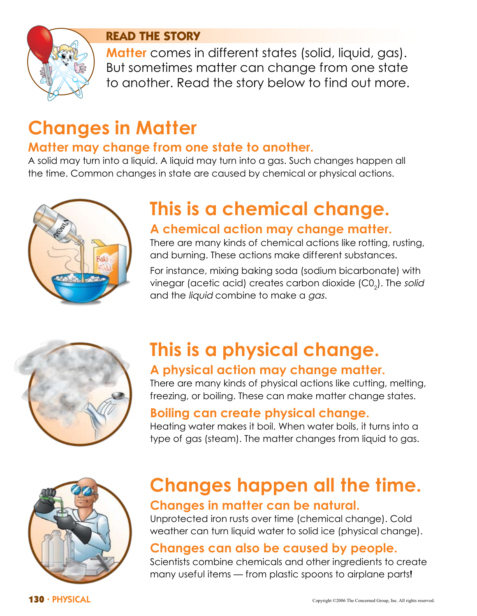

### **READ THE STORY**

**Matter** comes in different states (solid, liquid, gas). But sometimes matter can change from one state to another. Read the story below to find out more.

# **Changes in Matter**

## **Matter may change from one state to another.**

A solid may turn into a liquid. A liquid may turn into a gas. Such changes happen all the time. Common changes in state are caused by chemical or physical actions.



# **This is a chemical change. A chemical action may change matter.**

There are many kinds of chemical actions like rotting, rusting, and burning. These actions make different substances.

For instance, mixing baking soda (sodium bicarbonate) with vinegar (acetic acid) creates carbon dioxide (C0 $_{_2}$ ). The *solid* and the *liquid* combine to make a *gas*.



# **This is a physical change. A physical action may change matter.**

There are many kinds of physical actions like cutting, melting, freezing, or boiling. These can make matter change states.

## **Boiling can create physical change.**

Heating water makes it boil. When water boils, it turns into a type of gas (steam). The matter changes from liquid to gas.



# **Changes happen all the time. Changes in matter can be natural.**

Unprotected iron rusts over time (chemical change). Cold weather can turn liquid water to solid ice (physical change).

# **Changes can also be caused by people.**

Scientists combine chemicals and other ingredients to create many useful items — from plastic spoons to airplane parts!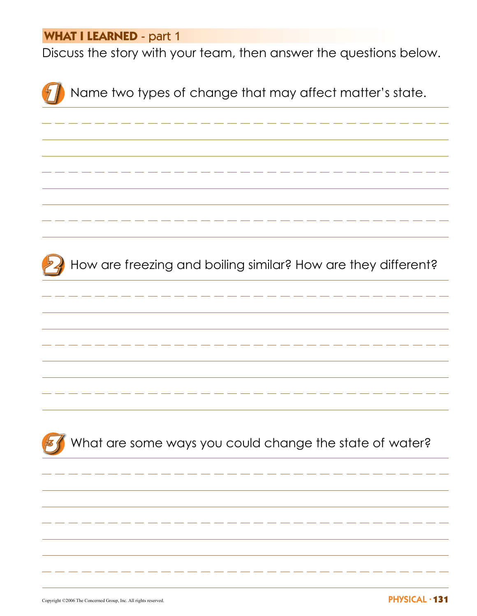### **WHAT I LEARNED** - part 1

Discuss the story with your team, then answer the questions below.



Copyright ©2006 The Concerned Group, Inc. All rights reserved.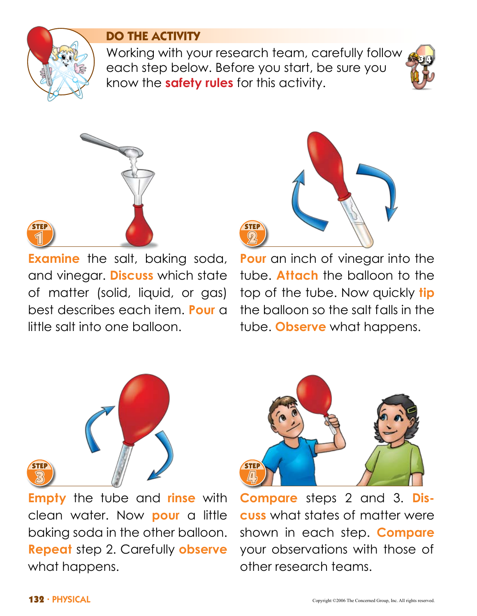

## **DO THE ACTIVITY**

Working with your research team, carefully follow each step below. Before you start, be sure you know the **safety rules** for this activity.





**Examine** the salt, baking soda, and vinegar. **Discuss** which state of matter (solid, liquid, or gas) best describes each item. **Pour** a little salt into one balloon.



**Pour** an inch of vinegar into the tube. **Attach** the balloon to the top of the tube. Now quickly **tip** the balloon so the salt falls in the tube. **Observe** what happens.



**Empty** the tube and **rinse** with clean water. Now **pour** a little baking soda in the other balloon. **Repeat** step 2. Carefully **observe** what happens.



**Compare** steps 2 and 3. **Discuss** what states of matter were shown in each step. **Compare** your observations with those of other research teams.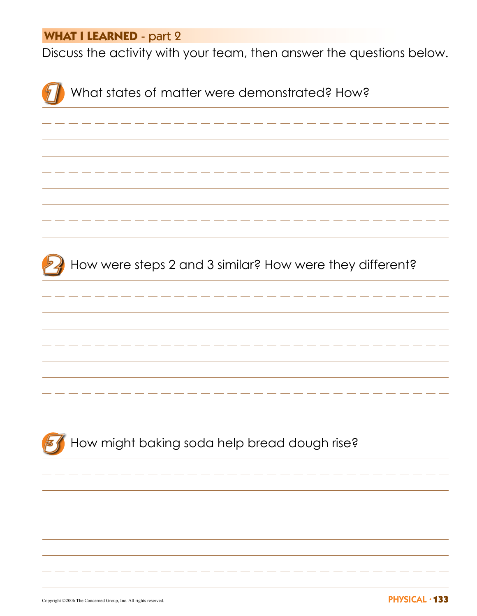### **WHAT I LEARNED** - part 2

Discuss the activity with your team, then answer the questions below.